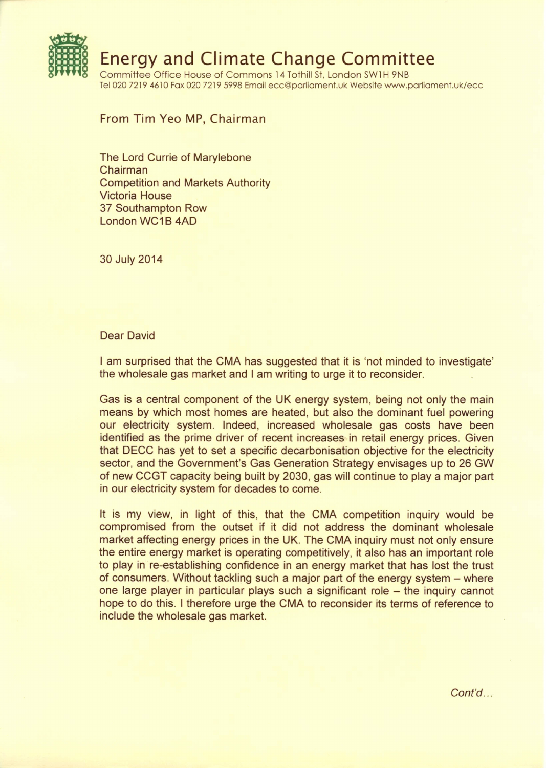

From Tim Yeo MP, Chairman

The Lord Currie of Marylebone Chairman Competition and Markets Authority Victoria House 37 Southampton Row London WC 1B 4AD

30 July 2014

## Dear David

I am surprised that the CMA has suggested that it is 'not minded to investigate' the wholesale gas market and I am writing to urge it to reconsider.

Gas is a central component of the UK energy system, being not only the main means by which most homes are heated, but also the dominant fuel powering our electricity system. Indeed, increased wholesale gas costs have been identified as the prime driver of recent increases in retail energy prices. Given that DECC has yet to set a specific decarbonisation objective for the electricity sector, and the Government's Gas Generation Strategy envisages up to 26 GW of new CCGT capacity being built by 2030, gas will continue to play a major part in our electricity system for decades to come.

It is my view, in light of this, that the CMA competition inquiry would be compromised from the outset if it did not address the dominant wholesale market affecting energy prices in the UK. The CMA inquiry must not only ensure the entire energy market is operating competitively, it also has an important role to play in re-establishing confidence in an energy market that has lost the trust of consumers. Without tackling such a major part of the energy system – where one large player in particular plays such a significant role - the inquiry cannot hope to do this. I therefore urge the CMA to reconsider its terms of reference to include the wholesale gas market.

*Cont'd ...*